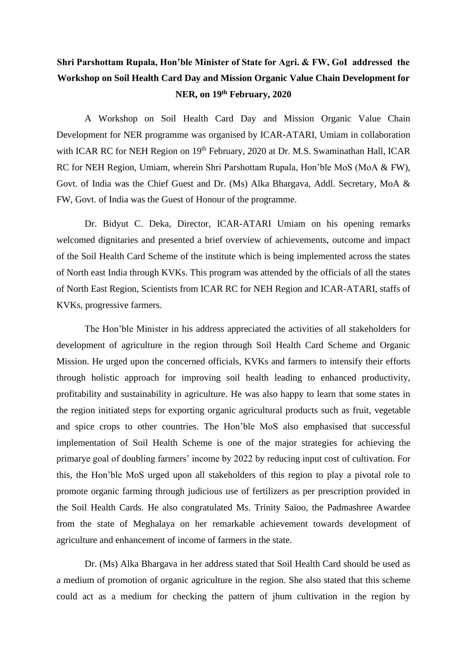## **Shri Parshottam Rupala, Hon'ble Minister of State for Agri. & FW, GoI addressed the Workshop on Soil Health Card Day and Mission Organic Value Chain Development for NER, on 19th February, 2020**

A Workshop on Soil Health Card Day and Mission Organic Value Chain Development for NER programme was organised by ICAR-ATARI, Umiam in collaboration with ICAR RC for NEH Region on 19<sup>th</sup> February, 2020 at Dr. M.S. Swaminathan Hall, ICAR RC for NEH Region, Umiam, wherein Shri Parshottam Rupala, Hon'ble MoS (MoA & FW), Govt. of India was the Chief Guest and Dr. (Ms) Alka Bhargava, Addl. Secretary, MoA & FW, Govt. of India was the Guest of Honour of the programme.

Dr. Bidyut C. Deka, Director, ICAR-ATARI Umiam on his opening remarks welcomed dignitaries and presented a brief overview of achievements, outcome and impact of the Soil Health Card Scheme of the institute which is being implemented across the states of North east India through KVKs. This program was attended by the officials of all the states of North East Region, Scientists from ICAR RC for NEH Region and ICAR-ATARI, staffs of KVKs, progressive farmers.

The Hon'ble Minister in his address appreciated the activities of all stakeholders for development of agriculture in the region through Soil Health Card Scheme and Organic Mission. He urged upon the concerned officials, KVKs and farmers to intensify their efforts through holistic approach for improving soil health leading to enhanced productivity, profitability and sustainability in agriculture. He was also happy to learn that some states in the region initiated steps for exporting organic agricultural products such as fruit, vegetable and spice crops to other countries. The Hon'ble MoS also emphasised that successful implementation of Soil Health Scheme is one of the major strategies for achieving the primarye goal of doubling farmers' income by 2022 by reducing input cost of cultivation. For this, the Hon'ble MoS urged upon all stakeholders of this region to play a pivotal role to promote organic farming through judicious use of fertilizers as per prescription provided in the Soil Health Cards. He also congratulated Ms. Trinity Saïoo, the Padmashree Awardee from the state of Meghalaya on her remarkable achievement towards development of agriculture and enhancement of income of farmers in the state.

Dr. (Ms) Alka Bhargava in her address stated that Soil Health Card should be used as a medium of promotion of organic agriculture in the region. She also stated that this scheme could act as a medium for checking the pattern of jhum cultivation in the region by